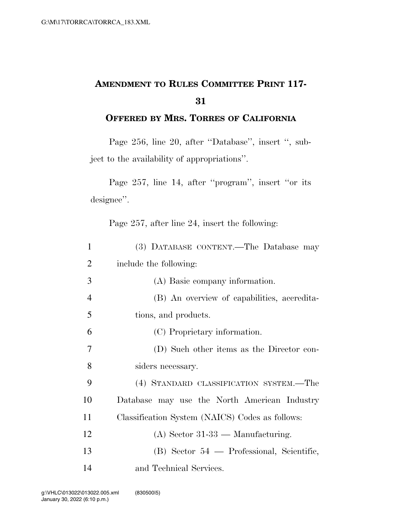## **AMENDMENT TO RULES COMMITTEE PRINT 117- 31**

**OFFERED BY MRS. TORRES OF CALIFORNIA**

Page 256, line 20, after "Database", insert ", subject to the availability of appropriations''.

Page 257, line 14, after ''program'', insert ''or its designee''.

Page 257, after line 24, insert the following:

| 1              | (3) DATABASE CONTENT.—The Database may          |
|----------------|-------------------------------------------------|
| $\overline{2}$ | include the following:                          |
| 3              | (A) Basic company information.                  |
| $\overline{4}$ | (B) An overview of capabilities, accredita-     |
| 5              | tions, and products.                            |
| 6              | (C) Proprietary information.                    |
| 7              | (D) Such other items as the Director con-       |
| 8              | siders necessary.                               |
| 9              | (4) STANDARD CLASSIFICATION SYSTEM.—The         |
| 10             | Database may use the North American Industry    |
| 11             | Classification System (NAICS) Codes as follows: |
| 12             | $(A)$ Sector 31-33 — Manufacturing.             |
| 13             | (B) Sector 54 — Professional, Scientific,       |
| 14             | and Technical Services.                         |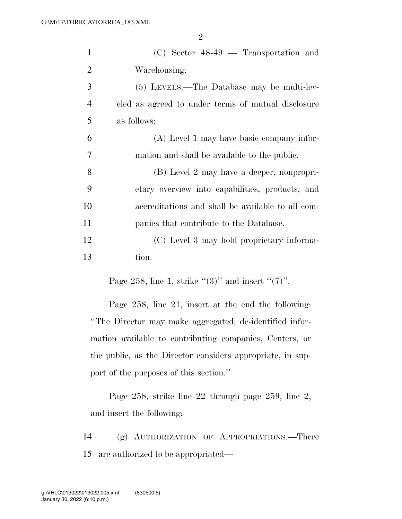2

| 1              | $(C)$ Sector 48-49 — Transportation and            |
|----------------|----------------------------------------------------|
| $\overline{2}$ | Warehousing.                                       |
| 3              | (5) LEVELS.—The Database may be multi-lev-         |
| $\overline{4}$ | eled as agreed to under terms of mutual disclosure |
| 5              | as follows:                                        |
| 6              | (A) Level 1 may have basic company infor-          |
| 7              | mation and shall be available to the public.       |
| 8              | (B) Level 2 may have a deeper, nonpropri-          |
| 9              | etary overview into capabilities, products, and    |
| 10             | accreditations and shall be available to all com-  |
| 11             | panies that contribute to the Database.            |
| 12             | (C) Level 3 may hold proprietary informa-          |
| 13             | tion.                                              |
|                |                                                    |

Page 258, line 1, strike " $(3)$ " and insert " $(7)$ ".

Page 258, line 21, insert at the end the following: ''The Director may make aggregated, de-identified information available to contributing companies, Centers, or the public, as the Director considers appropriate, in support of the purposes of this section.''

Page 258, strike line 22 through page 259, line 2, and insert the following:

14 (g) AUTHORIZATION OF APPROPRIATIONS.—There 15 are authorized to be appropriated